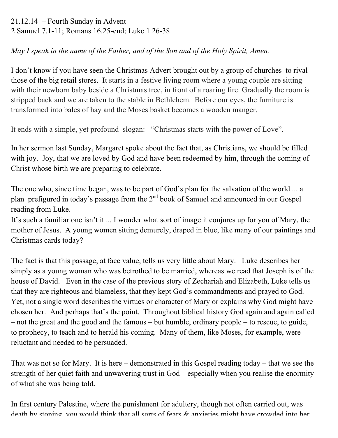21.12.14 – Fourth Sunday in Advent 2 Samuel 7.1-11; Romans 16.25-end; Luke 1.26-38

*May I speak in the name of the Father, and of the Son and of the Holy Spirit, Amen.*

I don't know if you have seen the Christmas Advert brought out by a group of churches to rival those of the big retail stores. It starts in a festive living room where a young couple are sitting with their newborn baby beside a Christmas tree, in front of a roaring fire. Gradually the room is stripped back and we are taken to the stable in Bethlehem. Before our eyes, the furniture is transformed into bales of hay and the Moses basket becomes a wooden manger.

It ends with a simple, yet profound slogan: "Christmas starts with the power of Love".

In her sermon last Sunday, Margaret spoke about the fact that, as Christians, we should be filled with joy. Joy, that we are loved by God and have been redeemed by him, through the coming of Christ whose birth we are preparing to celebrate.

The one who, since time began, was to be part of God's plan for the salvation of the world ... a plan prefigured in today's passage from the  $2<sup>nd</sup>$  book of Samuel and announced in our Gospel reading from Luke.

It's such a familiar one isn't it ... I wonder what sort of image it conjures up for you of Mary, the mother of Jesus. A young women sitting demurely, draped in blue, like many of our paintings and Christmas cards today?

The fact is that this passage, at face value, tells us very little about Mary. Luke describes her simply as a young woman who was betrothed to be married, whereas we read that Joseph is of the house of David. Even in the case of the previous story of Zechariah and Elizabeth, Luke tells us that they are righteous and blameless, that they kept God's commandments and prayed to God. Yet, not a single word describes the virtues or character of Mary or explains why God might have chosen her. And perhaps that's the point. Throughout biblical history God again and again called – not the great and the good and the famous – but humble, ordinary people – to rescue, to guide, to prophecy, to teach and to herald his coming. Many of them, like Moses, for example, were reluctant and needed to be persuaded.

That was not so for Mary. It is here – demonstrated in this Gospel reading today – that we see the strength of her quiet faith and unwavering trust in God – especially when you realise the enormity of what she was being told.

In first century Palestine, where the punishment for adultery, though not often carried out, was death by stoning, you would think that all sorts of fears  $\&$  anxieties might have crowded into her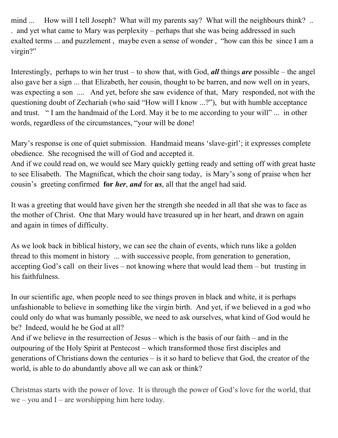mind ... How will I tell Joseph? What will my parents say? What will the neighbours think? .. . and yet what came to Mary was perplexity – perhaps that she was being addressed in such exalted terms ... and puzzlement , maybe even a sense of wonder , "how can this be since I am a virgin?"

Interestingly, perhaps to win her trust – to show that, with God, *all* things *are* possible – the angel also gave her a sign ... that Elizabeth, her cousin, thought to be barren, and now well on in years, was expecting a son .... And yet, before she saw evidence of that, Mary responded, not with the questioning doubt of Zechariah (who said "How will I know ...?"), but with humble acceptance and trust. " I am the handmaid of the Lord. May it be to me according to your will" ... in other words, regardless of the circumstances, "your will be done!

Mary's response is one of quiet submission. Handmaid means 'slave-girl'; it expresses complete obedience. She recognised the will of God and accepted it.

And if we could read on, we would see Mary quickly getting ready and setting off with great haste to see Elisabeth. The Magnificat, which the choir sang today, is Mary's song of praise when her cousin's greeting confirmed **for** *her*, *and* for *us*, all that the angel had said.

It was a greeting that would have given her the strength she needed in all that she was to face as the mother of Christ. One that Mary would have treasured up in her heart, and drawn on again and again in times of difficulty.

As we look back in biblical history, we can see the chain of events, which runs like a golden thread to this moment in history ... with successive people, from generation to generation, accepting God's call on their lives – not knowing where that would lead them – but trusting in his faithfulness.

In our scientific age, when people need to see things proven in black and white, it is perhaps unfashionable to believe in something like the virgin birth. And yet, if we believed in a god who could only do what was humanly possible, we need to ask ourselves, what kind of God would he be? Indeed, would he be God at all?

And if we believe in the resurrection of Jesus – which is the basis of our faith – and in the outpouring of the Holy Spirit at Pentecost – which transformed those first disciples and generations of Christians down the centuries – is it so hard to believe that God, the creator of the world, is able to do abundantly above all we can ask or think?

Christmas starts with the power of love. It is through the power of God's love for the world, that  $we - you$  and I – are worshipping him here today.